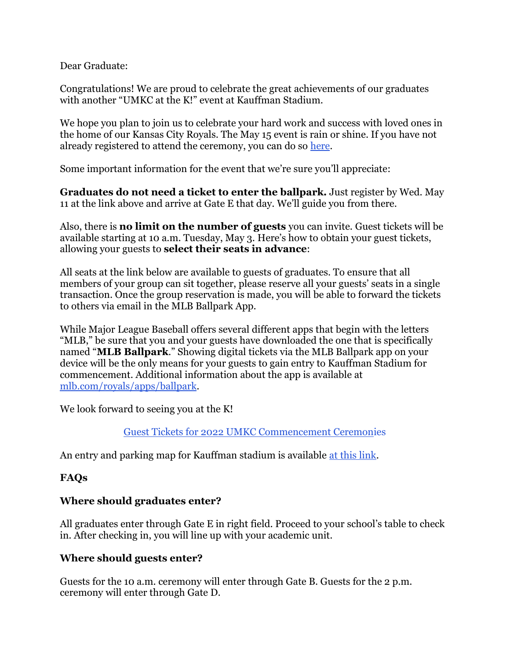Dear Graduate:

Congratulations! We are proud to celebrate the great achievements of our graduates with another "UMKC at the K!" event at Kauffman Stadium.

We hope you plan to join us to celebrate your hard work and success with loved ones in the home of our Kansas City Royals. The May 15 event is rain or shine. If you have not already registered to attend the ceremony, you can do so [here.](https://www.umkc.edu/commencement/)

Some important information for the event that we're sure you'll appreciate:

**Graduates do not need a ticket to enter the ballpark.** Just register by Wed. May 11 at the link above and arrive at Gate E that day. We'll guide you from there.

Also, there is **no limit on the number of guests** you can invite. Guest tickets will be available starting at 10 a.m. Tuesday, May 3. Here's how to obtain your guest tickets, allowing your guests to **select their seats in advance**:

All seats at the link below are available to guests of graduates. To ensure that all members of your group can sit together, please reserve all your guests' seats in a single transaction. Once the group reservation is made, you will be able to forward the tickets to others via email in the MLB Ballpark App.

While Major League Baseball offers several different apps that begin with the letters "MLB," be sure that you and your guests have downloaded the one that is specifically named "**MLB Ballpark**." Showing digital tickets via the MLB Ballpark app on your device will be the only means for your guests to gain entry to Kauffman Stadium for commencement. Additional information about the app is available at [mlb.com/royals/apps/ballpark.](http://mlb.com/royals/apps/ballpark)

We look forward to seeing you at the K!

[Guest Tickets for 2022 UMKC Commencement Ceremoni](https://www.mlb.com/royals/tickets/vouchers/umkc)es

An entry and parking map for Kauffman stadium is available [at this link.](https://www.umkc.edu/commencement/)

## **FAQs**

## **Where should graduates enter?**

All graduates enter through Gate E in right field. Proceed to your school's table to check in. After checking in, you will line up with your academic unit.

# **Where should guests enter?**

Guests for the 10 a.m. ceremony will enter through Gate B. Guests for the 2 p.m. ceremony will enter through Gate D.